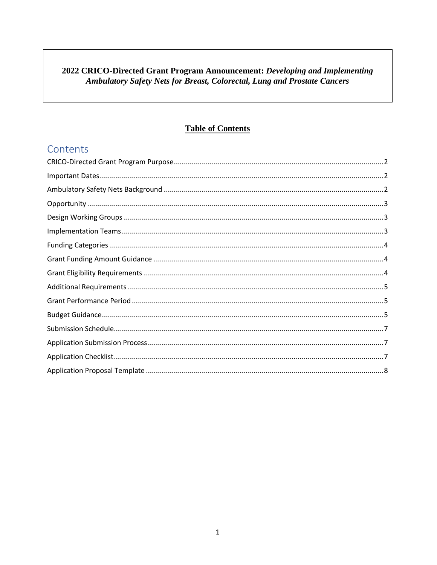#### 2022 CRICO-Directed Grant Program Announcement: Developing and Implementing Ambulatory Safety Nets for Breast, Colorectal, Lung and Prostate Cancers

#### **Table of Contents**

### Contents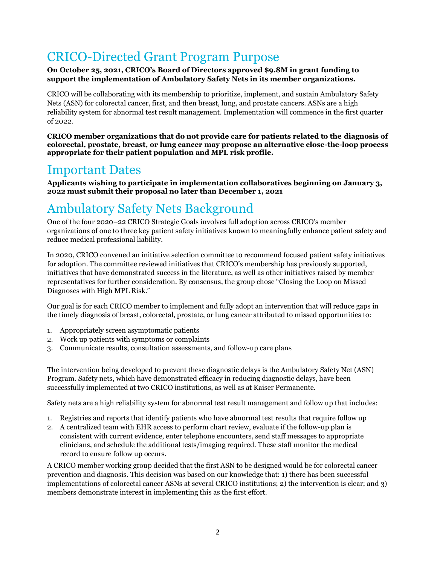## <span id="page-1-0"></span>CRICO-Directed Grant Program Purpose

#### **On October 25, 2021, CRICO's Board of Directors approved \$9.8M in grant funding to support the implementation of Ambulatory Safety Nets in its member organizations.**

CRICO will be collaborating with its membership to prioritize, implement, and sustain Ambulatory Safety Nets (ASN) for colorectal cancer, first, and then breast, lung, and prostate cancers. ASNs are a high reliability system for abnormal test result management. Implementation will commence in the first quarter of 2022.

**CRICO member organizations that do not provide care for patients related to the diagnosis of colorectal, prostate, breast, or lung cancer may propose an alternative close-the-loop process appropriate for their patient population and MPL risk profile.**

### <span id="page-1-1"></span>Important Dates

**Applicants wishing to participate in implementation collaboratives beginning on January 3, 2022 must submit their proposal no later than December 1, 2021**

# <span id="page-1-2"></span>Ambulatory Safety Nets Background

One of the four 2020–22 CRICO Strategic Goals involves full adoption across CRICO's member organizations of one to three key patient safety initiatives known to meaningfully enhance patient safety and reduce medical professional liability.

In 2020, CRICO convened an initiative selection committee to recommend focused patient safety initiatives for adoption. The committee reviewed initiatives that CRICO's membership has previously supported, initiatives that have demonstrated success in the literature, as well as other initiatives raised by member representatives for further consideration. By consensus, the group chose "Closing the Loop on Missed Diagnoses with High MPL Risk."

Our goal is for each CRICO member to implement and fully adopt an intervention that will reduce gaps in the timely diagnosis of breast, colorectal, prostate, or lung cancer attributed to missed opportunities to:

- 1. Appropriately screen asymptomatic patients
- 2. Work up patients with symptoms or complaints
- 3. Communicate results, consultation assessments, and follow-up care plans

The intervention being developed to prevent these diagnostic delays is the Ambulatory Safety Net (ASN) Program. Safety nets, which have demonstrated efficacy in reducing diagnostic delays, have been successfully implemented at two CRICO institutions, as well as at Kaiser Permanente.

Safety nets are a high reliability system for abnormal test result management and follow up that includes:

- 1. Registries and reports that identify patients who have abnormal test results that require follow up
- 2. A centralized team with EHR access to perform chart review, evaluate if the follow-up plan is consistent with current evidence, enter telephone encounters, send staff messages to appropriate clinicians, and schedule the additional tests/imaging required. These staff monitor the medical record to ensure follow up occurs.

A CRICO member working group decided that the first ASN to be designed would be for colorectal cancer prevention and diagnosis. This decision was based on our knowledge that: 1) there has been successful implementations of colorectal cancer ASNs at several CRICO institutions; 2) the intervention is clear; and 3) members demonstrate interest in implementing this as the first effort.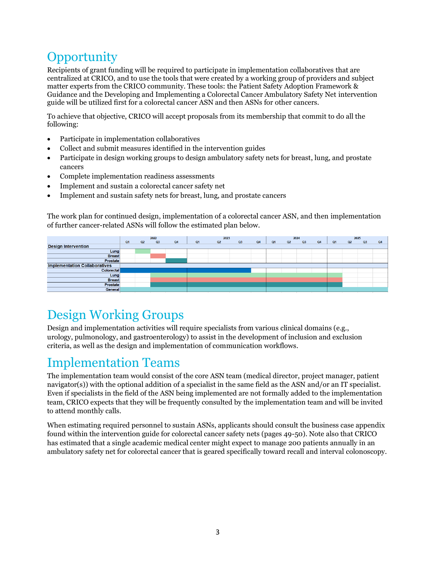# <span id="page-2-0"></span>**Opportunity**

Recipients of grant funding will be required to participate in implementation collaboratives that are centralized at CRICO, and to use the tools that were created by a working group of providers and subject matter experts from the CRICO community. These tools: the Patient Safety Adoption Framework & Guidance and the Developing and Implementing a Colorectal Cancer Ambulatory Safety Net intervention guide will be utilized first for a colorectal cancer ASN and then ASNs for other cancers.

To achieve that objective, CRICO will accept proposals from its membership that commit to do all the following:

- Participate in implementation collaboratives
- Collect and submit measures identified in the intervention guides
- Participate in design working groups to design ambulatory safety nets for breast, lung, and prostate cancers
- Complete implementation readiness assessments
- Implement and sustain a colorectal cancer safety net
- Implement and sustain safety nets for breast, lung, and prostate cancers

The work plan for continued design, implementation of a colorectal cancer ASN, and then implementation of further cancer-related ASNs will follow the estimated plan below.



# <span id="page-2-1"></span>Design Working Groups

Design and implementation activities will require specialists from various clinical domains (e.g., urology, pulmonology, and gastroenterology) to assist in the development of inclusion and exclusion criteria, as well as the design and implementation of communication workflows.

### <span id="page-2-2"></span>Implementation Teams

The implementation team would consist of the core ASN team (medical director, project manager, patient navigator(s)) with the optional addition of a specialist in the same field as the ASN and/or an IT specialist. Even if specialists in the field of the ASN being implemented are not formally added to the implementation team, CRICO expects that they will be frequently consulted by the implementation team and will be invited to attend monthly calls.

When estimating required personnel to sustain ASNs, applicants should consult the business case appendix found within the intervention guide for colorectal cancer safety nets (pages 49-50). Note also that CRICO has estimated that a single academic medical center might expect to manage 200 patients annually in an ambulatory safety net for colorectal cancer that is geared specifically toward recall and interval colonoscopy.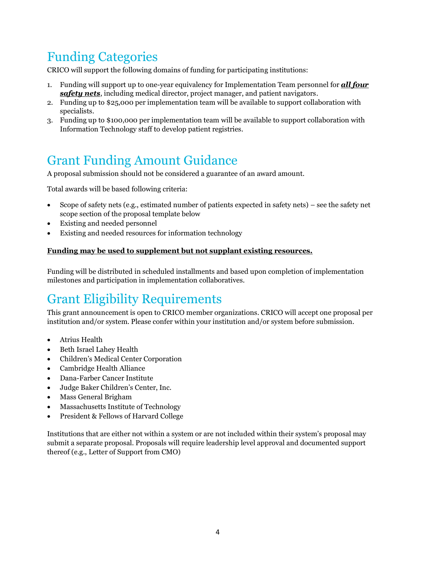# <span id="page-3-0"></span>Funding Categories

CRICO will support the following domains of funding for participating institutions:

- 1. Funding will support up to one-year equivalency for Implementation Team personnel for *all four safety nets*, including medical director, project manager, and patient navigators.
- 2. Funding up to \$25,000 per implementation team will be available to support collaboration with specialists.
- 3. Funding up to \$100,000 per implementation team will be available to support collaboration with Information Technology staff to develop patient registries.

# <span id="page-3-1"></span>Grant Funding Amount Guidance

A proposal submission should not be considered a guarantee of an award amount.

Total awards will be based following criteria:

- Scope of safety nets (e.g., estimated number of patients expected in safety nets) see the safety net scope section of the proposal template below
- Existing and needed personnel
- Existing and needed resources for information technology

#### **Funding may be used to supplement but not supplant existing resources.**

Funding will be distributed in scheduled installments and based upon completion of implementation milestones and participation in implementation collaboratives.

# <span id="page-3-2"></span>Grant Eligibility Requirements

This grant announcement is open t[o CRICO member organizations.](https://rmf.harvard.edu/About-CRICO/Our-Community/Harvard-Institutions) CRICO will accept one proposal per institution and/or system. Please confer within your institution and/or system before submission.

- Atrius Health
- Beth Israel Lahey Health
- Children's Medical Center Corporation
- Cambridge Health Alliance
- Dana-Farber Cancer Institute
- Judge Baker Children's Center, Inc.
- Mass General Brigham
- Massachusetts Institute of Technology
- President & Fellows of Harvard College

Institutions that are either not within a system or are not included within their system's proposal may submit a separate proposal. Proposals will require leadership level approval and documented support thereof (e.g., Letter of Support from CMO)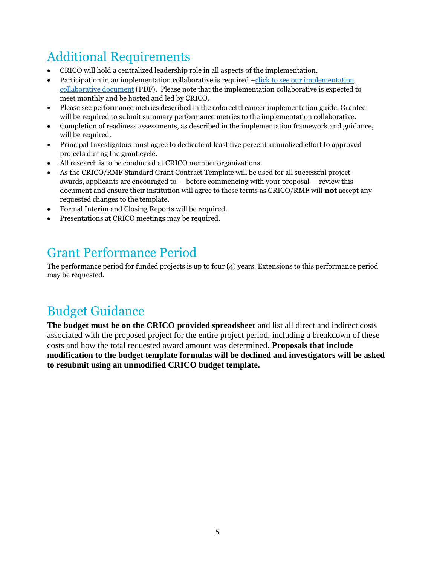# <span id="page-4-0"></span>Additional Requirements

- CRICO will hold a centralized leadership role in all aspects of the implementation.
- Participation in an implementation collaborative is required –[click to see our implementation](https://www.rmf.harvard.edu/~/media/files/crico/grants/directedgrants/Developing-and-Implementing-a-CRC-ASN-Guide.pdf) [collaborative document](https://www.rmf.harvard.edu/~/media/files/crico/grants/directedgrants/Developing-and-Implementing-a-CRC-ASN-Guide.pdf) (PDF). Please note that the implementation collaborative is expected to meet monthly and be hosted and led by CRICO.
- Please see performance metrics described in the colorectal cancer implementation guide. Grantee will be required to submit summary performance metrics to the implementation collaborative.
- Completion of readiness assessments, as described in the implementation framework and guidance, will be required.
- Principal Investigators must agree to dedicate at least five percent annualized effort to approved projects during the grant cycle.
- All research is to be conducted at CRICO member organizations.
- As the CRICO/RMF Standard Grant Contract Template will be used for all successful project awards, applicants are encouraged to  $-$  before commencing with your proposal  $-$  review this document and ensure their institution will agree to these terms as CRICO/RMF will **not** accept any requested changes to the template.
- Formal Interim and Closing Reports will be required.
- Presentations at CRICO meetings may be required.

### <span id="page-4-1"></span>Grant Performance Period

The performance period for funded projects is up to four (4) years. Extensions to this performance period may be requested.

### <span id="page-4-2"></span>Budget Guidance

**The budget must be on the CRICO provided spreadsheet** and list all direct and indirect costs associated with the proposed project for the entire project period, including a breakdown of these costs and how the total requested award amount was determined. **Proposals that include modification to the budget template formulas will be declined and investigators will be asked to resubmit using an unmodified CRICO budget template.**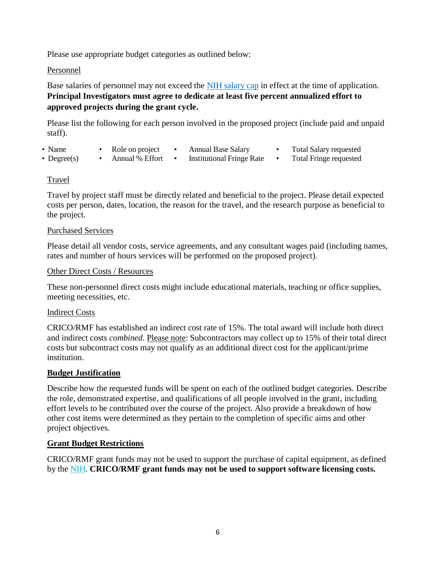Please use appropriate budget categories as outlined below:

#### Personnel

Base salaries of personnel may not exceed the [NIH salary cap](https://www.niaid.nih.gov/grants-contracts/salary-cap-stipends) in effect at the time of application. **Principal Investigators must agree to dedicate at least five percent annualized effort to approved projects during the grant cycle.**

Please list the following for each person involved in the proposed project (include paid and unpaid staff).

- Name Role on project Annual Base Salary Total Salary requested
- 
- Degree(s) Annual % Effort Institutional Fringe Rate Total Fringe requested
- 

#### Travel

Travel by project staff must be directly related and beneficial to the project. Please detail expected costs per person, dates, location, the reason for the travel, and the research purpose as beneficial to the project.

#### Purchased Services

Please detail all vendor costs, service agreements, and any consultant wages paid (including names, rates and number of hours services will be performed on the proposed project).

#### Other Direct Costs / Resources

These non-personnel direct costs might include educational materials, teaching or office supplies, meeting necessities, etc.

#### Indirect Costs

CRICO/RMF has established an indirect cost rate of 15%. The total award will include both direct and indirect costs *combined*. Please note: Subcontractors may collect up to 15% of their total direct costs but subcontract costs may not qualify as an additional direct cost for the applicant/prime institution.

#### **Budget Justification**

Describe how the requested funds will be spent on each of the outlined budget categories. Describe the role, demonstrated expertise, and qualifications of all people involved in the grant, including effort levels to be contributed over the course of the project. Also provide a breakdown of how other cost items were determined as they pertain to the completion of specific aims and other project objectives.

#### **Grant Budget Restrictions**

CRICO/RMF grant funds may not be used to support the purchase of capital equipment, as defined by the [NIH.](https://grants.nih.gov/grants/policy/nihgps/html5/section_1/1.2_definition_of_terms.htm) **CRICO/RMF grant funds may not be used to support software licensing costs.**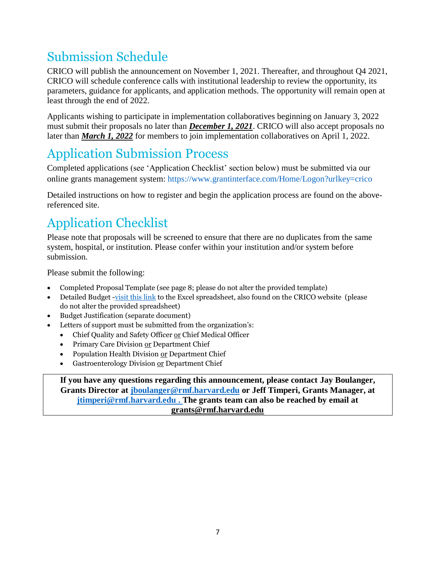# <span id="page-6-0"></span>Submission Schedule

CRICO will publish the announcement on November 1, 2021. Thereafter, and throughout Q4 2021, CRICO will schedule conference calls with institutional leadership to review the opportunity, its parameters, guidance for applicants, and application methods. The opportunity will remain open at least through the end of 2022.

Applicants wishing to participate in implementation collaboratives beginning on January 3, 2022 must submit their proposals no later than *December 1, 2021*. CRICO will also accept proposals no later than *March 1, 2022* for members to join implementation collaboratives on April 1, 2022.

# <span id="page-6-1"></span>Application Submission Process

Completed applications (see 'Application Checklist' section below) must be submitted via our online grants management system:<https://www.grantinterface.com/Home/Logon?urlkey=crico>

Detailed instructions on how to register and begin the application process are found on the abovereferenced site.

# <span id="page-6-2"></span>Application Checklist

Please note that proposals will be screened to ensure that there are no duplicates from the same system, hospital, or institution. Please confer within your institution and/or system before submission.

Please submit the following:

- Completed Proposal Template (see page 8; please do not alter the provided template)
- Detailed Budget [-visit this link](https://www.rmf.harvard.edu/~/media/files/crico/grants/directedgrants/budget-templateDG.xls) to the Excel spreadsheet, also found on the CRICO website (please do not alter the provided spreadsheet)
- Budget Justification (separate document)
- Letters of support must be submitted from the organization's:
	- Chief Quality and Safety Officer or Chief Medical Officer
	- Primary Care Division or Department Chief
	- Population Health Division or Department Chief
	- Gastroenterology Division or Department Chief

**If you have any questions regarding this announcement, please contact Jay Boulanger, Grants Director at [jboulanger@rmf.harvard.edu](mailto:jboulanger@rmf.harvard.edu) or Jeff Timperi, Grants Manager, at [jtimperi@rmf.harvard.edu .](mailto:jtimperi@rmf.harvard.edu) The grants team can also be reached by email at [grants@rmf.harvard.edu](mailto:grants@rmf.harvard.edu)**